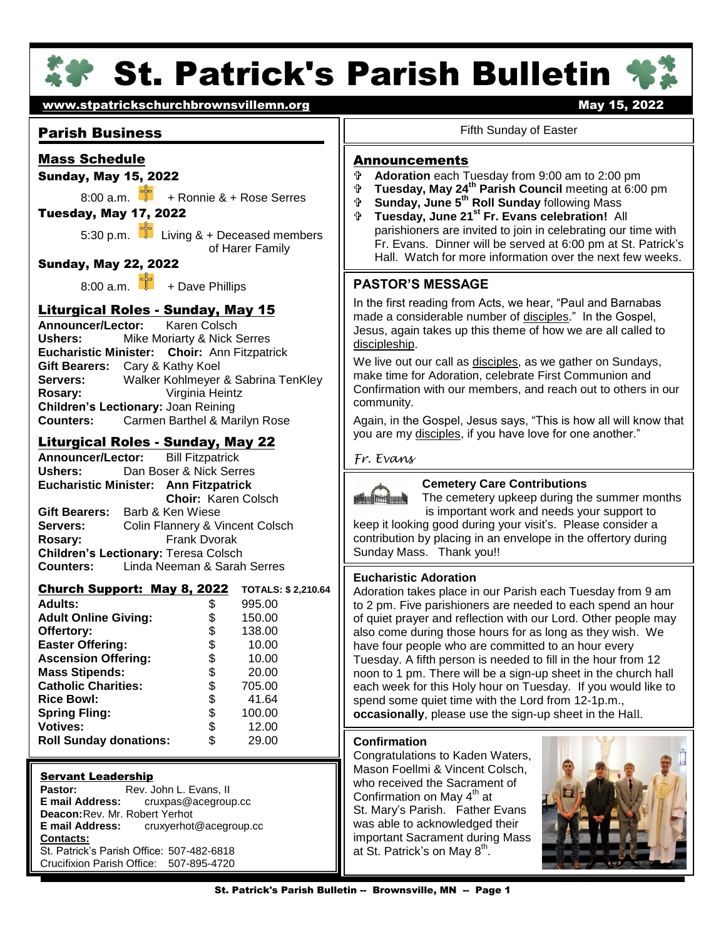

# **St. Patrick's Parish Bulletin '**



#### Parish Business

#### Mass Schedule

#### Sunday, May 15, 2022

8:00 a.m.  $\frac{1}{2}$  + Ronnie & + Rose Serres

#### Tuesday, May 17, 2022

5:30 p.m.  $\Box$  Living & + Deceased members of Harer Family

#### Sunday, May 22, 2022

8:00 a.m.  $\frac{1}{2}$  + Dave Phillips

# Liturgical Roles - Sunday, May 15

Ushers: **Announcer/Lector:** Karen Colsch **Mike Moriarty & Nick Serres Eucharistic Minister: Choir:** Ann Fitzpatrick **Gift Bearers:** Cary & Kathy Koel **Servers:** Walker Kohlmeyer & Sabrina TenKley **Rosary:** Virginia Heintz **Children's Lectionary:** Joan Reining **Counters:** Carmen Barthel & Marilyn Rose

#### Liturgical Roles - Sunday, May 22

**Announcer/Lector:** Bill Fitzpatrick **Ushers:** Dan Boser & Nick Serres **Eucharistic Minister: Ann Fitzpatrick Choir:** Karen Colsch **Gift Bearers:** Barb & Ken Wiese **Servers:** Colin Flannery & Vincent Colsch **Rosary:** Frank Dvorak **Children's Lectionary:** Teresa Colsch **Counters:** Linda Neeman & Sarah Serres

## Church Support: May 8, 2022 **TOTALS: \$ 2,210.64**

| \$ | 995.00 |  |
|----|--------|--|
| \$ | 150.00 |  |
| \$ | 138.00 |  |
| \$ | 10.00  |  |
| \$ | 10.00  |  |
| \$ | 20.00  |  |
| \$ | 705.00 |  |
| \$ | 41.64  |  |
| \$ | 100.00 |  |
| \$ | 12.00  |  |
| S  | 29.00  |  |
|    |        |  |

#### Servant Leadership

**Pastor:** Rev. John L. Evans, II<br>**E mail Address:** cruxpas@acegroup **E mail Address:** cruxpas@acegroup.cc **Deacon:**Rev. Mr. Robert Yerhot **E mail Address:** cruxyerhot@acegroup.cc **Contacts:** St. Patrick's Parish Office: 507-482-6818 Crucifixion Parish Office: 507-895-4720

#### Fifth Sunday of Easter

#### **Announcements**

- <sup>⊕</sup> Adoration each Tuesday from 9:00 am to 2:00 pm<br><sup>⊕</sup> Tuesday, May 24<sup>th</sup> Parish Council meeting at 6:00
- **Tuesday, May 24th Parish Council** meeting at 6:00 pm
- **Sunday, June 5th Roll Sunday** following Mass
- **Tuesday, June 21st Fr. Evans celebration!** All parishioners are invited to join in celebrating our time with Fr. Evans. Dinner will be served at 6:00 pm at St. Patrick's Hall. Watch for more information over the next few weeks.

#### **PASTOR'S MESSAGE**

In the first reading from Acts, we hear, "Paul and Barnabas made a considerable number of disciples." In the Gospel, Jesus, again takes up this theme of how we are all called to discipleship.

We live out our call as disciples, as we gather on Sundays, make time for Adoration, celebrate First Communion and Confirmation with our members, and reach out to others in our community.

Again, in the Gospel, Jesus says, "This is how all will know that you are my disciples, if you have love for one another."

#### *Fr. Evans*

**Allen Bitte** 

**Cemetery Care Contributions** 

Ï

 The cemetery upkeep during the summer months is important work and needs your support to

keep it looking good during your visit's. Please consider a contribution by placing in an envelope in the offertory during Sunday Mass. Thank you!!

#### **Eucharistic Adoration**

Adoration takes place in our Parish each Tuesday from 9 am to 2 pm. Five parishioners are needed to each spend an hour of quiet prayer and reflection with our Lord. Other people may also come during those hours for as long as they wish. We have four people who are committed to an hour every Tuesday. A fifth person is needed to fill in the hour from 12 noon to 1 pm. There will be a sign-up sheet in the church hall each week for this Holy hour on Tuesday. If you would like to spend some quiet time with the Lord from 12-1p.m., **occasionally**, please use the sign-up sheet in the Hall.

#### **Confirmation**

Congratulations to Kaden Waters, Mason Foellmi & Vincent Colsch, who received the Sacrament of Confirmation on May  $4<sup>th</sup>$  at St. Mary's Parish. Father Evans was able to acknowledged their important Sacrament during Mass at St. Patrick's on May  $8^{\text{th}}$ .